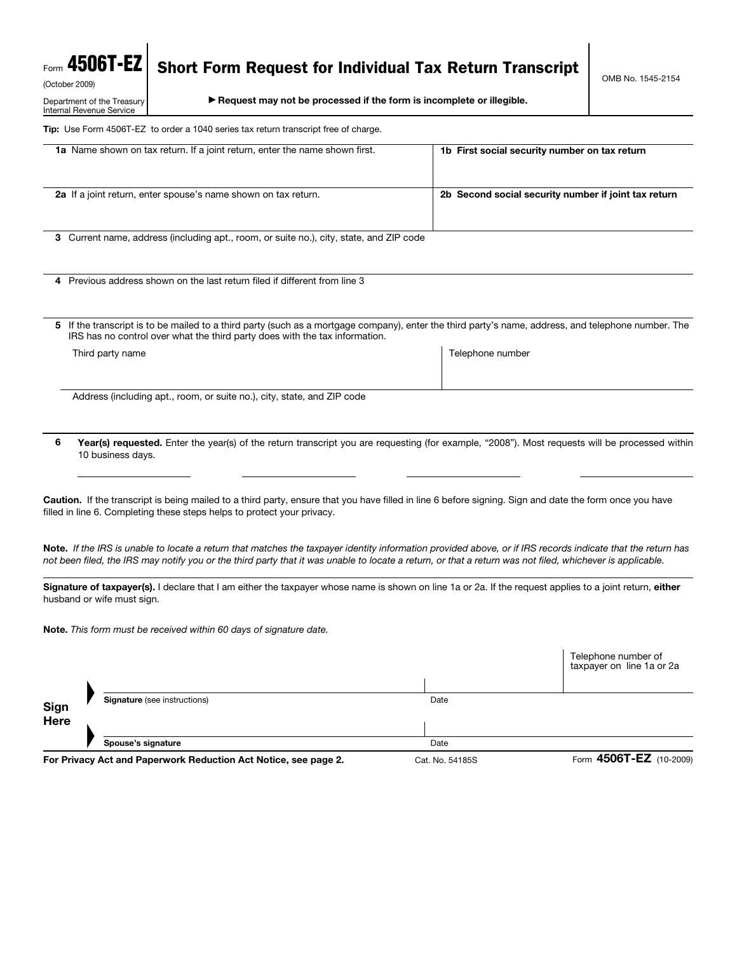## Form 4506T-EZ

Department of the Treasury Internal Revenue Service

## Short Form Request for Individual Tax Return Transcript

(October 2009)

© **Request may not be processed if the form is incomplete or illegible.**

**Tip:** Use Form 4506T-EZ to order a 1040 series tax return transcript free of charge.

| 1a Name shown on tax return. If a joint return, enter the name shown first.             | 1b First social security number on tax return                                                                                                                                                                                                                                                                            |
|-----------------------------------------------------------------------------------------|--------------------------------------------------------------------------------------------------------------------------------------------------------------------------------------------------------------------------------------------------------------------------------------------------------------------------|
| 2a If a joint return, enter spouse's name shown on tax return.                          | 2b Second social security number if joint tax return                                                                                                                                                                                                                                                                     |
| 3 Current name, address (including apt., room, or suite no.), city, state, and ZIP code |                                                                                                                                                                                                                                                                                                                          |
| 4 Previous address shown on the last return filed if different from line 3              |                                                                                                                                                                                                                                                                                                                          |
| IRS has no control over what the third party does with the tax information.             | 5 If the transcript is to be mailed to a third party (such as a mortgage company), enter the third party's name, address, and telephone number. The                                                                                                                                                                      |
| Third party name                                                                        | Telephone number                                                                                                                                                                                                                                                                                                         |
| Address (including apt., room, or suite no.), city, state, and ZIP code                 |                                                                                                                                                                                                                                                                                                                          |
| 6<br>10 business days.                                                                  | Year(s) requested. Enter the year(s) of the return transcript you are requesting (for example, "2008"). Most requests will be processed within                                                                                                                                                                           |
| filled in line 6. Completing these steps helps to protect your privacy.                 | Caution. If the transcript is being mailed to a third party, ensure that you have filled in line 6 before signing. Sign and date the form once you have                                                                                                                                                                  |
|                                                                                         | Note. If the IRS is unable to locate a return that matches the taxpayer identity information provided above, or if IRS records indicate that the return has<br>not been filed, the IRS may notify you or the third party that it was unable to locate a return, or that a return was not filed, whichever is applicable. |
| husband or wife must sign.                                                              | Signature of taxpayer(s). I declare that I am either the taxpayer whose name is shown on line 1a or 2a. If the request applies to a joint return, either                                                                                                                                                                 |
| Note. This form must be received within 60 days of signature date.                      |                                                                                                                                                                                                                                                                                                                          |
|                                                                                         | Telephone number of<br>taxpayer on line 1a or 2a                                                                                                                                                                                                                                                                         |
| <b>Signature</b> (see instructions)<br>Sign                                             | Date                                                                                                                                                                                                                                                                                                                     |
| Here                                                                                    |                                                                                                                                                                                                                                                                                                                          |
| Spouse's signature                                                                      | Date                                                                                                                                                                                                                                                                                                                     |

**For Privacy Act and Paperwork Reduction Act Notice, see page 2.** Cat. No. 54185S Form **4506T-EZ** (10-2009)